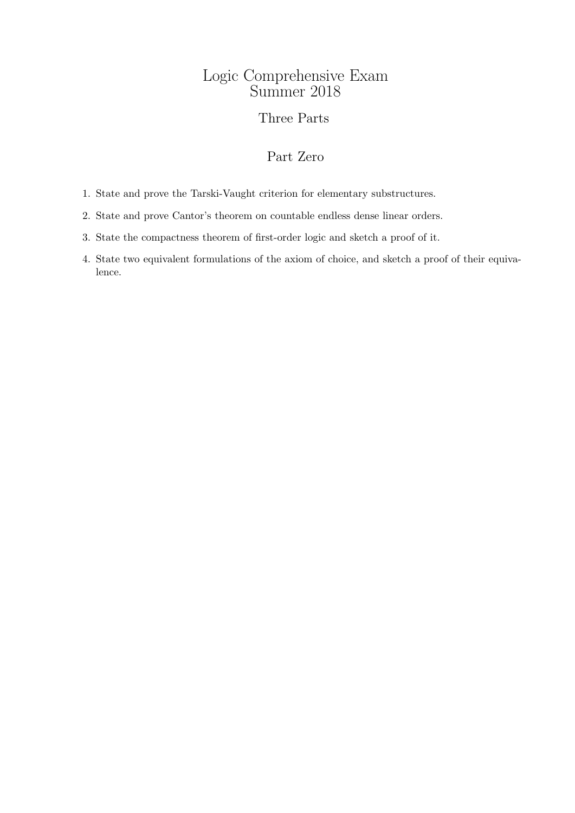## Logic Comprehensive Exam Summer 2018

## Three Parts

# Part Zero

- 1. State and prove the Tarski-Vaught criterion for elementary substructures.
- 2. State and prove Cantor's theorem on countable endless dense linear orders.
- 3. State the compactness theorem of first-order logic and sketch a proof of it.
- 4. State two equivalent formulations of the axiom of choice, and sketch a proof of their equivalence.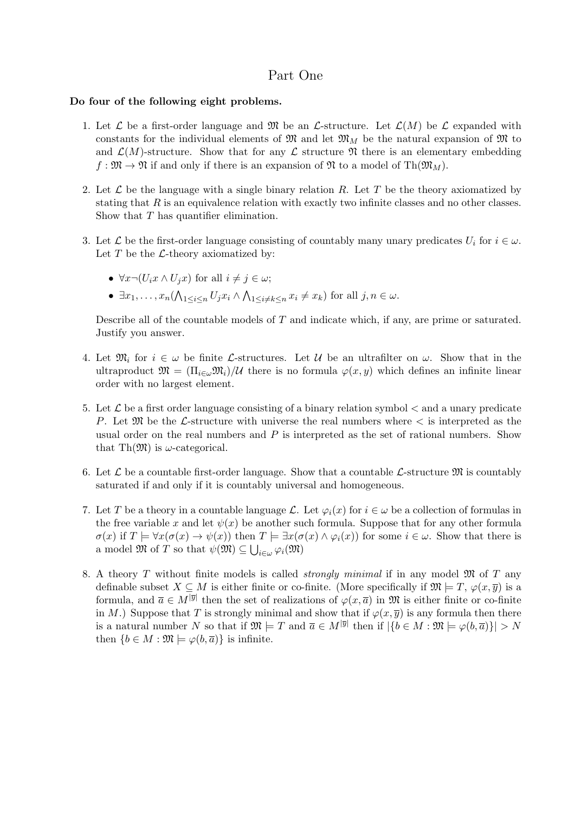## Part One

### Do four of the following eight problems.

- 1. Let  $\mathcal L$  be a first-order language and  $\mathfrak M$  be an  $\mathcal L$ -structure. Let  $\mathcal L(M)$  be  $\mathcal L$  expanded with constants for the individual elements of  $\mathfrak{M}$  and let  $\mathfrak{M}_M$  be the natural expansion of  $\mathfrak{M}$  to and  $\mathcal{L}(M)$ -structure. Show that for any  $\mathcal L$  structure  $\mathfrak N$  there is an elementary embedding  $f: \mathfrak{M} \to \mathfrak{N}$  if and only if there is an expansion of  $\mathfrak{N}$  to a model of  $\text{Th}(\mathfrak{M}_M)$ .
- 2. Let  $\mathcal L$  be the language with a single binary relation R. Let T be the theory axiomatized by stating that  $R$  is an equivalence relation with exactly two infinite classes and no other classes. Show that T has quantifier elimination.
- 3. Let  $\mathcal L$  be the first-order language consisting of countably many unary predicates  $U_i$  for  $i \in \omega$ . Let  $T$  be the  $\mathcal{L}\text{-theory}$  axiomatized by:
	- $\forall x \neg (U_i x \land U_j x)$  for all  $i \neq j \in \omega$ ;
	- $\exists x_1, \ldots, x_n \left( \bigwedge_{1 \leq i \leq n} U_j x_i \wedge \bigwedge_{1 \leq i \neq k \leq n} x_i \neq x_k \right)$  for all  $j, n \in \omega$ .

Describe all of the countable models of T and indicate which, if any, are prime or saturated. Justify you answer.

- 4. Let  $\mathfrak{M}_i$  for  $i \in \omega$  be finite L-structures. Let U be an ultrafilter on  $\omega$ . Show that in the ultraproduct  $\mathfrak{M} = (\Pi_{i \in \omega} \mathfrak{M}_i)/\mathcal{U}$  there is no formula  $\varphi(x, y)$  which defines an infinite linear order with no largest element.
- 5. Let  $\mathcal L$  be a first order language consisting of a binary relation symbol  $\lt$  and a unary predicate P. Let  $\mathfrak{M}$  be the L-structure with universe the real numbers where  $\lt$  is interpreted as the usual order on the real numbers and  $P$  is interpreted as the set of rational numbers. Show that Th $(\mathfrak{M})$  is  $\omega$ -categorical.
- 6. Let  $\mathcal L$  be a countable first-order language. Show that a countable  $\mathcal L$ -structure  $\mathfrak M$  is countably saturated if and only if it is countably universal and homogeneous.
- 7. Let T be a theory in a countable language  $\mathcal{L}$ . Let  $\varphi_i(x)$  for  $i \in \omega$  be a collection of formulas in the free variable x and let  $\psi(x)$  be another such formula. Suppose that for any other formula  $\sigma(x)$  if  $T \models \forall x (\sigma(x) \rightarrow \psi(x))$  then  $T \models \exists x (\sigma(x) \land \varphi_i(x))$  for some  $i \in \omega$ . Show that there is a model  $\mathfrak{M}$  of T so that  $\psi(\mathfrak{M}) \subseteq \bigcup_{i \in \omega} \varphi_i(\mathfrak{M})$
- 8. A theory T without finite models is called *strongly minimal* if in any model  $\mathfrak{M}$  of T any definable subset  $X \subseteq M$  is either finite or co-finite. (More specifically if  $\mathfrak{M} \models T$ ,  $\varphi(x, \overline{y})$  is a formula, and  $\overline{a} \in M^{|\overline{y}|}$  then the set of realizations of  $\varphi(x,\overline{a})$  in  $\mathfrak{M}$  is either finite or co-finite in M.) Suppose that T is strongly minimal and show that if  $\varphi(x, \overline{y})$  is any formula then there is a natural number N so that if  $\mathfrak{M} \models T$  and  $\overline{a} \in M^{|\overline{y}|}$  then if  $|\{b \in M : \mathfrak{M} \models \varphi(b, \overline{a})\}| > N$ then  $\{b \in M : \mathfrak{M} \models \varphi(b, \overline{a})\}$  is infinite.